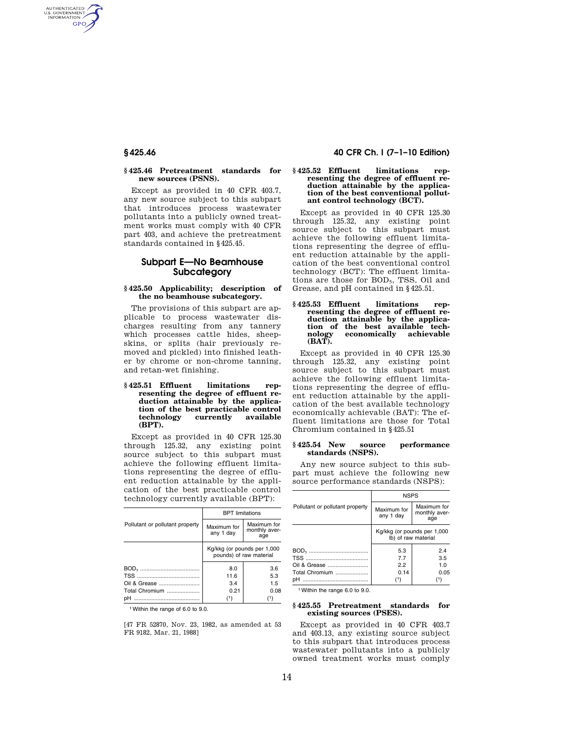AUTHENTICATED<br>U.S. GOVERNMENT<br>INFORMATION **GPO** 

## **§ 425.46 Pretreatment standards for new sources (PSNS).**

Except as provided in 40 CFR 403.7, any new source subject to this subpart that introduces process wastewater pollutants into a publicly owned treatment works must comply with 40 CFR part 403, and achieve the pretreatment standards contained in §425.45.

# **Subpart E—No Beamhouse Subcategory**

## **§ 425.50 Applicability; description of the no beamhouse subcategory.**

The provisions of this subpart are applicable to process wastewater discharges resulting from any tannery which processes cattle hides, sheepskins, or splits (hair previously removed and pickled) into finished leather by chrome or non-chrome tanning, and retan-wet finishing.

## **§ 425.51 Effluent limitations representing the degree of effluent reduction attainable by the application of the best practicable control**  technology **(BPT).**

Except as provided in 40 CFR 125.30 through 125.32, any existing point source subject to this subpart must achieve the following effluent limitations representing the degree of effluent reduction attainable by the application of the best practicable control technology currently available (BPT):

|                                 | <b>BPT</b> limitations                                 |                                     |
|---------------------------------|--------------------------------------------------------|-------------------------------------|
| Pollutant or pollutant property | Maximum for<br>any 1 day                               | Maximum for<br>monthly aver-<br>age |
|                                 | Kg/kkg (or pounds per 1,000<br>pounds) of raw material |                                     |
|                                 | 8.0                                                    | 3.6                                 |
|                                 | 11.6                                                   | 5.3                                 |
|                                 | 3.4                                                    | 15                                  |
| Total Chromium                  | 0.21                                                   | 0.08                                |
| nН                              | /1)                                                    |                                     |

1Within the range of 6.0 to 9.0.

[47 FR 52870, Nov. 23, 1982, as amended at 53 FR 9182, Mar. 21, 1988]

# **§ 425.46 40 CFR Ch. I (7–1–10 Edition)**

#### **§ 425.52 Effluent limitations representing the degree of effluent reduction attainable by the application of the best conventional pollutant control technology (BCT).**

Except as provided in 40 CFR 125.30 through 125.32, any existing point source subject to this subpart must achieve the following effluent limitations representing the degree of effluent reduction attainable by the application of the best conventional control technology (BCT): The effluent limitations are those for BOD5, TSS, Oil and Grease, and pH contained in §425.51.

### **§ 425.53 Effluent limitations representing the degree of effluent reduction attainable by the application of the best available technology economically achievable (BAT).**

Except as provided in 40 CFR 125.30 through 125.32, any existing point source subject to this subpart must achieve the following effluent limitations representing the degree of effluent reduction attainable by the application of the best available technology economically achievable (BAT): The effluent limitations are those for Total Chromium contained in §425.51

#### **§ 425.54 New source performance standards (NSPS).**

Any new source subject to this subpart must achieve the following new source performance standards (NSPS):

|                                 | <b>NSPS</b>                                        |                                     |
|---------------------------------|----------------------------------------------------|-------------------------------------|
| Pollutant or pollutant property | Maximum for<br>any 1 day                           | Maximum for<br>monthly aver-<br>age |
|                                 | Kg/kkg (or pounds per 1,000<br>Ib) of raw material |                                     |
|                                 | 5.3<br>7.7                                         | 2.4<br>3.5                          |
| Oil & Grease                    | 2.2                                                | 1.0                                 |
| Total Chromium                  | 0.14                                               | 0.05                                |
|                                 | $^{(1)}$                                           | (1)                                 |

1Within the range 6.0 to 9.0.

### **§ 425.55 Pretreatment standards for existing sources (PSES).**

Except as provided in 40 CFR 403.7 and 403.13, any existing source subject to this subpart that introduces process wastewater pollutants into a publicly owned treatment works must comply